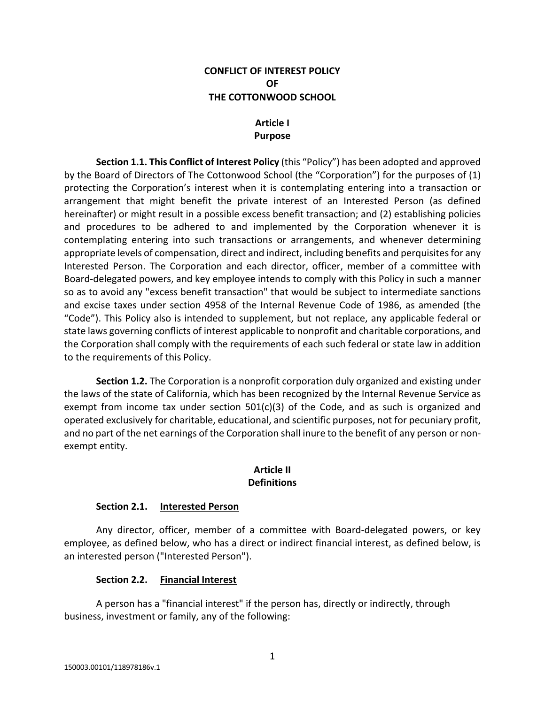### **CONFLICT OF INTEREST POLICY OF THE COTTONWOOD SCHOOL**

# **Article I Purpose**

**Section 1.1. This Conflict of Interest Policy** (this "Policy") has been adopted and approved by the Board of Directors of The Cottonwood School (the "Corporation") for the purposes of (1) protecting the Corporation's interest when it is contemplating entering into a transaction or arrangement that might benefit the private interest of an Interested Person (as defined hereinafter) or might result in a possible excess benefit transaction; and (2) establishing policies and procedures to be adhered to and implemented by the Corporation whenever it is contemplating entering into such transactions or arrangements, and whenever determining appropriate levels of compensation, direct and indirect, including benefits and perquisites for any Interested Person. The Corporation and each director, officer, member of a committee with Board-delegated powers, and key employee intends to comply with this Policy in such a manner so as to avoid any "excess benefit transaction" that would be subject to intermediate sanctions and excise taxes under section 4958 of the Internal Revenue Code of 1986, as amended (the "Code"). This Policy also is intended to supplement, but not replace, any applicable federal or state laws governing conflicts of interest applicable to nonprofit and charitable corporations, and the Corporation shall comply with the requirements of each such federal or state law in addition to the requirements of this Policy.

**Section 1.2.** The Corporation is a nonprofit corporation duly organized and existing under the laws of the state of California, which has been recognized by the Internal Revenue Service as exempt from income tax under section  $501(c)(3)$  of the Code, and as such is organized and operated exclusively for charitable, educational, and scientific purposes, not for pecuniary profit, and no part of the net earnings of the Corporation shall inure to the benefit of any person or nonexempt entity.

### **Article II Definitions**

## **Section 2.1. Interested Person**

Any director, officer, member of a committee with Board-delegated powers, or key employee, as defined below, who has a direct or indirect financial interest, as defined below, is an interested person ("Interested Person").

## **Section 2.2. Financial Interest**

A person has a "financial interest" if the person has, directly or indirectly, through business, investment or family, any of the following: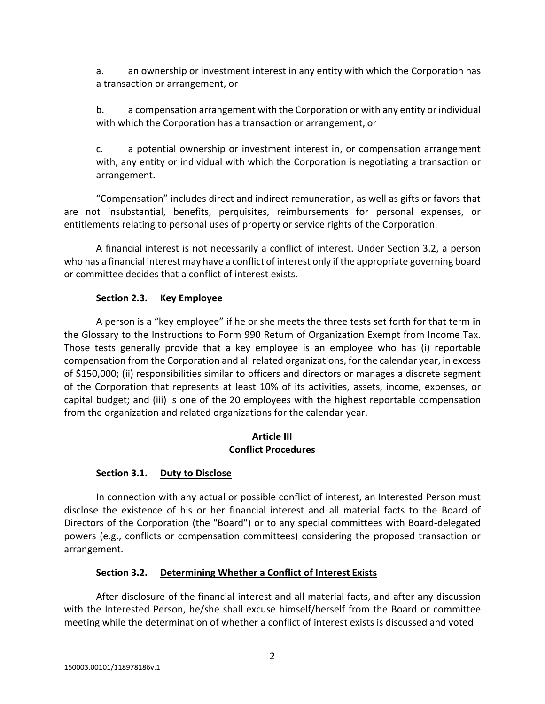a. an ownership or investment interest in any entity with which the Corporation has a transaction or arrangement, or

b. a compensation arrangement with the Corporation or with any entity or individual with which the Corporation has a transaction or arrangement, or

c. a potential ownership or investment interest in, or compensation arrangement with, any entity or individual with which the Corporation is negotiating a transaction or arrangement.

"Compensation" includes direct and indirect remuneration, as well as gifts or favors that are not insubstantial, benefits, perquisites, reimbursements for personal expenses, or entitlements relating to personal uses of property or service rights of the Corporation.

A financial interest is not necessarily a conflict of interest. Under Section 3.2, a person who has a financial interest may have a conflict of interest only if the appropriate governing board or committee decides that a conflict of interest exists.

## **Section 2.3. Key Employee**

A person is a "key employee" if he or she meets the three tests set forth for that term in the Glossary to the Instructions to Form 990 Return of Organization Exempt from Income Tax. Those tests generally provide that a key employee is an employee who has (i) reportable compensation from the Corporation and all related organizations, for the calendar year, in excess of \$150,000; (ii) responsibilities similar to officers and directors or manages a discrete segment of the Corporation that represents at least 10% of its activities, assets, income, expenses, or capital budget; and (iii) is one of the 20 employees with the highest reportable compensation from the organization and related organizations for the calendar year.

### **Article III Conflict Procedures**

## **Section 3.1. Duty to Disclose**

In connection with any actual or possible conflict of interest, an Interested Person must disclose the existence of his or her financial interest and all material facts to the Board of Directors of the Corporation (the "Board") or to any special committees with Board-delegated powers (e.g., conflicts or compensation committees) considering the proposed transaction or arrangement.

## **Section 3.2. Determining Whether a Conflict of Interest Exists**

After disclosure of the financial interest and all material facts, and after any discussion with the Interested Person, he/she shall excuse himself/herself from the Board or committee meeting while the determination of whether a conflict of interest exists is discussed and voted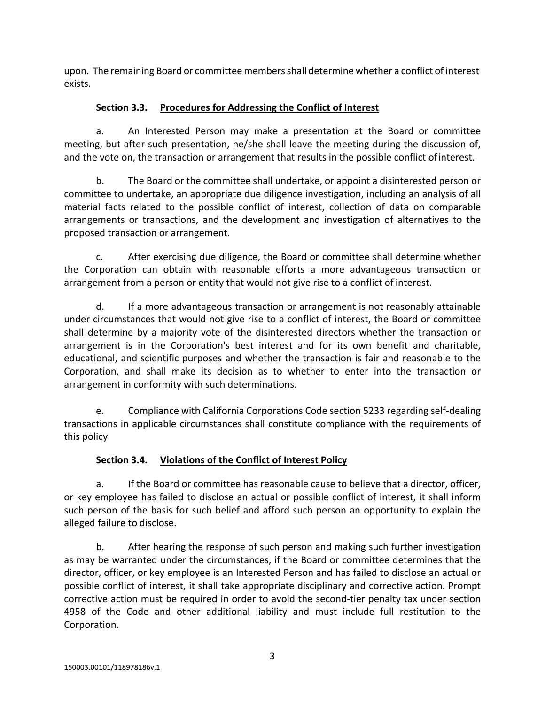upon. The remaining Board or committee membersshall determine whether a conflict of interest exists.

# **Section 3.3. Procedures for Addressing the Conflict of Interest**

a. An Interested Person may make a presentation at the Board or committee meeting, but after such presentation, he/she shall leave the meeting during the discussion of, and the vote on, the transaction or arrangement that results in the possible conflict ofinterest.

b. The Board or the committee shall undertake, or appoint a disinterested person or committee to undertake, an appropriate due diligence investigation, including an analysis of all material facts related to the possible conflict of interest, collection of data on comparable arrangements or transactions, and the development and investigation of alternatives to the proposed transaction or arrangement.

c. After exercising due diligence, the Board or committee shall determine whether the Corporation can obtain with reasonable efforts a more advantageous transaction or arrangement from a person or entity that would not give rise to a conflict of interest.

d. If a more advantageous transaction or arrangement is not reasonably attainable under circumstances that would not give rise to a conflict of interest, the Board or committee shall determine by a majority vote of the disinterested directors whether the transaction or arrangement is in the Corporation's best interest and for its own benefit and charitable, educational, and scientific purposes and whether the transaction is fair and reasonable to the Corporation, and shall make its decision as to whether to enter into the transaction or arrangement in conformity with such determinations.

e. Compliance with California Corporations Code section 5233 regarding self-dealing transactions in applicable circumstances shall constitute compliance with the requirements of this policy

# **Section 3.4. Violations of the Conflict of Interest Policy**

a. If the Board or committee has reasonable cause to believe that a director, officer, or key employee has failed to disclose an actual or possible conflict of interest, it shall inform such person of the basis for such belief and afford such person an opportunity to explain the alleged failure to disclose.

b. After hearing the response of such person and making such further investigation as may be warranted under the circumstances, if the Board or committee determines that the director, officer, or key employee is an Interested Person and has failed to disclose an actual or possible conflict of interest, it shall take appropriate disciplinary and corrective action. Prompt corrective action must be required in order to avoid the second-tier penalty tax under section 4958 of the Code and other additional liability and must include full restitution to the Corporation.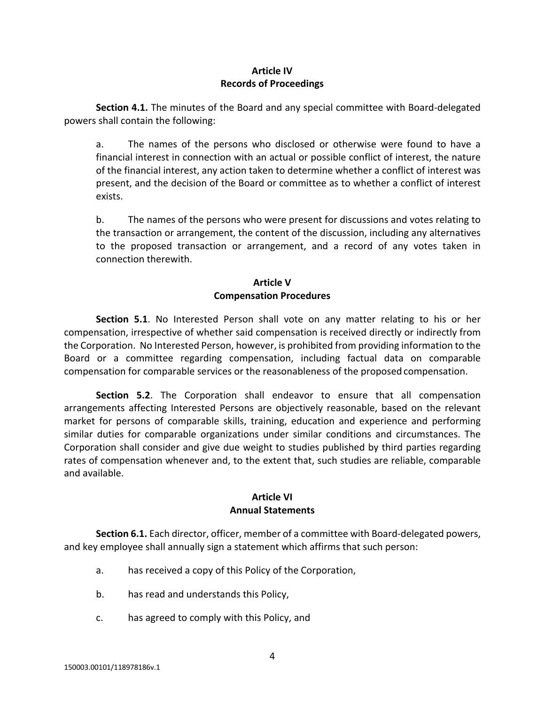## **Article IV Records of Proceedings**

**Section 4.1.** The minutes of the Board and any special committee with Board-delegated powers shall contain the following:

a. The names of the persons who disclosed or otherwise were found to have a financial interest in connection with an actual or possible conflict of interest, the nature of the financial interest, any action taken to determine whether a conflict of interest was present, and the decision of the Board or committee as to whether a conflict of interest exists.

b. The names of the persons who were present for discussions and votes relating to the transaction or arrangement, the content of the discussion, including any alternatives to the proposed transaction or arrangement, and a record of any votes taken in connection therewith.

## **Article V Compensation Procedures**

**Section 5.1**. No Interested Person shall vote on any matter relating to his or her compensation, irrespective of whether said compensation is received directly or indirectly from the Corporation. No Interested Person, however, is prohibited from providing information to the Board or a committee regarding compensation, including factual data on comparable compensation for comparable services or the reasonableness of the proposed compensation.

**Section 5.2**. The Corporation shall endeavor to ensure that all compensation arrangements affecting Interested Persons are objectively reasonable, based on the relevant market for persons of comparable skills, training, education and experience and performing similar duties for comparable organizations under similar conditions and circumstances. The Corporation shall consider and give due weight to studies published by third parties regarding rates of compensation whenever and, to the extent that, such studies are reliable, comparable and available.

### **Article VI Annual Statements**

**Section 6.1.** Each director, officer, member of a committee with Board-delegated powers, and key employee shall annually sign a statement which affirms that such person:

- a. has received a copy of this Policy of the Corporation,
- b. has read and understands this Policy,
- c. has agreed to comply with this Policy, and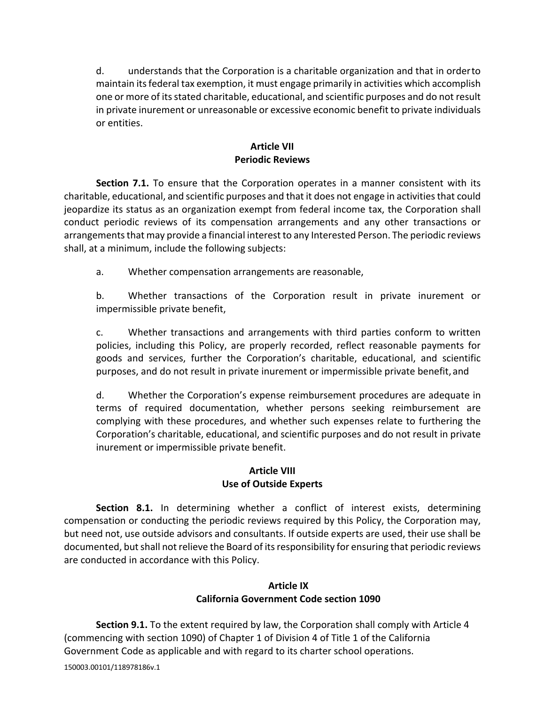d. understands that the Corporation is a charitable organization and that in orderto maintain itsfederal tax exemption, it must engage primarily in activities which accomplish one or more of itsstated charitable, educational, and scientific purposes and do not result in private inurement or unreasonable or excessive economic benefit to private individuals or entities.

## **Article VII Periodic Reviews**

**Section 7.1.** To ensure that the Corporation operates in a manner consistent with its charitable, educational, and scientific purposes and that it does not engage in activitiesthat could jeopardize its status as an organization exempt from federal income tax, the Corporation shall conduct periodic reviews of its compensation arrangements and any other transactions or arrangements that may provide a financial interest to any Interested Person. The periodic reviews shall, at a minimum, include the following subjects:

a. Whether compensation arrangements are reasonable,

b. Whether transactions of the Corporation result in private inurement or impermissible private benefit,

c. Whether transactions and arrangements with third parties conform to written policies, including this Policy, are properly recorded, reflect reasonable payments for goods and services, further the Corporation's charitable, educational, and scientific purposes, and do not result in private inurement or impermissible private benefit, and

d. Whether the Corporation's expense reimbursement procedures are adequate in terms of required documentation, whether persons seeking reimbursement are complying with these procedures, and whether such expenses relate to furthering the Corporation's charitable, educational, and scientific purposes and do not result in private inurement or impermissible private benefit.

### **Article VIII Use of Outside Experts**

**Section 8.1.** In determining whether a conflict of interest exists, determining compensation or conducting the periodic reviews required by this Policy, the Corporation may, but need not, use outside advisors and consultants. If outside experts are used, their use shall be documented, but shall not relieve the Board of its responsibility for ensuring that periodic reviews are conducted in accordance with this Policy.

### **Article IX California Government Code section 1090**

**Section 9.1.** To the extent required by law, the Corporation shall comply with Article 4 (commencing with section 1090) of Chapter 1 of Division 4 of Title 1 of the California Government Code as applicable and with regard to its charter school operations.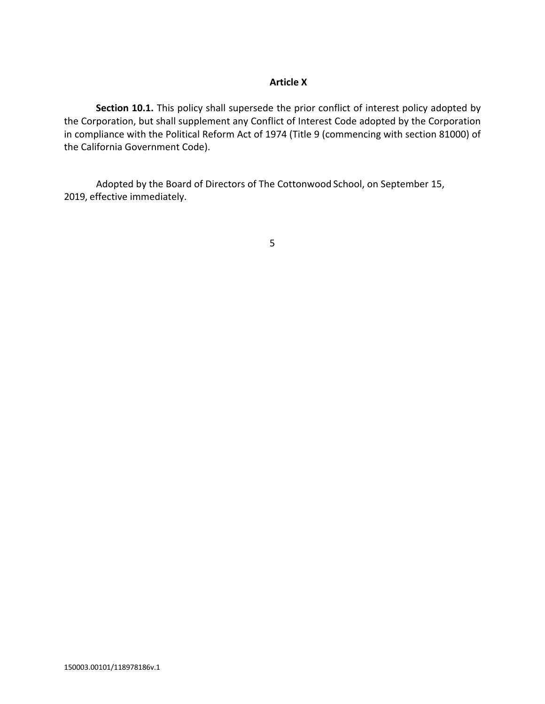### **Article X**

**Section 10.1.** This policy shall supersede the prior conflict of interest policy adopted by the Corporation, but shall supplement any Conflict of Interest Code adopted by the Corporation in compliance with the Political Reform Act of 1974 (Title 9 (commencing with section 81000) of the California Government Code).

Adopted by the Board of Directors of The Cottonwood School, on September 15, 2019, effective immediately.

5